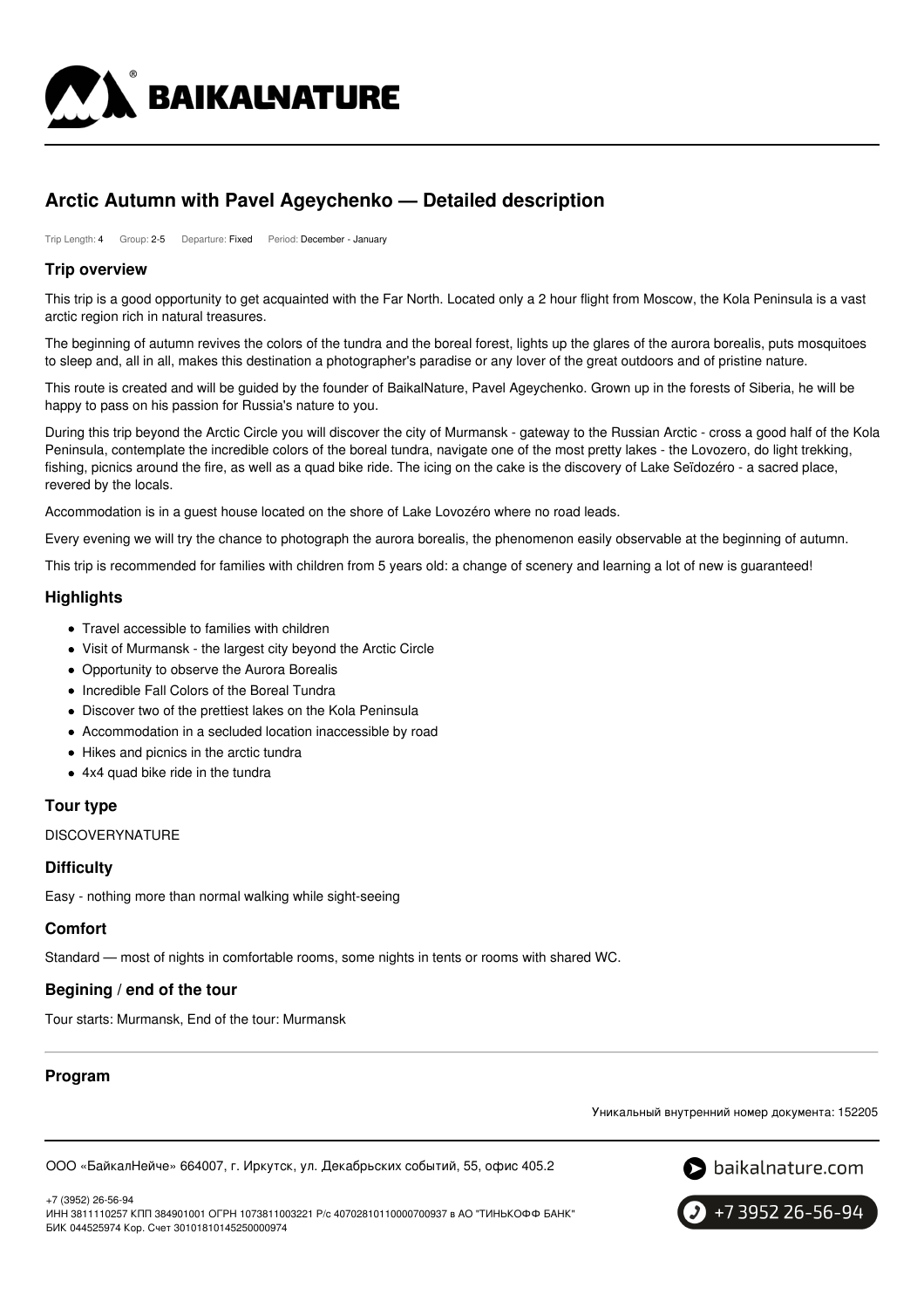

# **Arctic Autumn with Pavel Ageychenko — Detailed description**

Trip Length: 4 Group: 2-5 Departure: Fixed Period: December - January

### **Trip overview**

This trip is a good opportunity to get acquainted with the Far North. Located only a 2 hour flight from Moscow, the Kola Peninsula is a vast arctic region rich in natural treasures.

The beginning of autumn revives the colors of the tundra and the boreal forest, lights up the glares of the aurora borealis, puts mosquitoes to sleep and, all in all, makes this destination a photographer's paradise or any lover of the great outdoors and of pristine nature.

This route is created and will be guided by the founder of BaikalNature, Pavel Ageychenko. Grown up in the forests of Siberia, he will be happy to pass on his passion for Russia's nature to you.

During this trip beyond the Arctic Circle you will discover the city of Murmansk - gateway to the Russian Arctic - cross a good half of the Kola Peninsula, contemplate the incredible colors of the boreal tundra, navigate one of the most pretty lakes - the Lovozero, do light trekking, fishing, picnics around the fire, as well as a quad bike ride. The icing on the cake is the discovery of Lake Seïdozéro - a sacred place, revered by the locals.

Accommodation is in a guest house located on the shore of Lake Lovozéro where no road leads.

Every evening we will try the chance to photograph the aurora borealis, the phenomenon easily observable at the beginning of autumn.

This trip is recommended for families with children from 5 years old: a change of scenery and learning a lot of new is guaranteed!

#### **Highlights**

- Travel accessible to families with children
- Visit of Murmansk the largest city beyond the Arctic Circle
- Opportunity to observe the Aurora Borealis
- Incredible Fall Colors of the Boreal Tundra
- Discover two of the prettiest lakes on the Kola Peninsula
- Accommodation in a secluded location inaccessible by road
- Hikes and picnics in the arctic tundra
- 4x4 quad bike ride in the tundra

## **Tour type**

**DISCOVERYNATURE** 

### **Difficulty**

Easy - nothing more than normal walking while sight-seeing

### **Comfort**

Standard — most of nights in comfortable rooms, some nights in tents or rooms with shared WC.

### **Begining / end of the tour**

Tour starts: Murmansk, End of the tour: Murmansk

## **Program**

Уникальный внутренний номер документа: 152205

ООО «БайкалНейче» 664007, г. Иркутск, ул. Декабрьских событий, 55, офис 405.2



+7 (3952) 26-56-94

ИНН 3811110257 КПП 384901001 ОГРН 1073811003221 Р/с 40702810110000700937 в АО "ТИНЬКОФФ БАНК" БИК 044525974 Кор. Счет 30101810145250000974

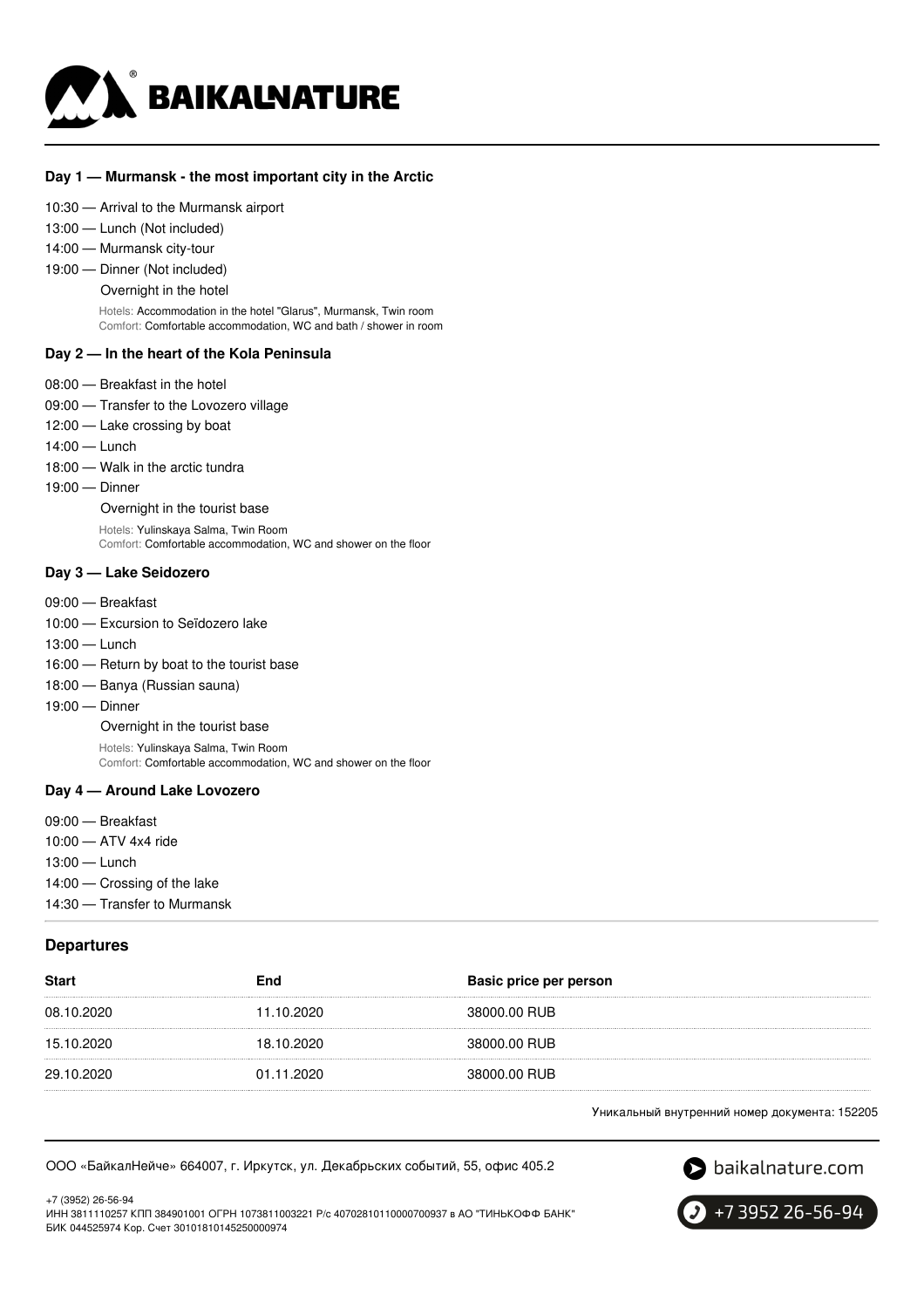

#### **Day 1 — Murmansk - the most important city in the Arctic**

#### 10:30 — Arrival to the Murmansk airport

- 13:00 Lunch (Not included)
- 14:00 Murmansk city-tour
- 19:00 Dinner (Not included)
	- Overnight in the hotel

Hotels: Accommodation in the hotel "Glarus", Murmansk, Twin room Comfort: Comfortable accommodation, WC and bath / shower in room

#### **Day 2 — In the heart of the Kola Peninsula**

- 08:00 Breakfast in the hotel
- 09:00 Transfer to the Lovozero village
- 12:00 Lake crossing by boat
- 14:00 Lunch
- 18:00 Walk in the arctic tundra
- 19:00 Dinner

Overnight in the tourist base Hotels: Yulinskaya Salma, Twin Room Comfort: Comfortable accommodation, WC and shower on the floor

#### **Day 3 — Lake Seidozero**

- 09:00 Breakfast
- 10:00 Excursion to Seïdozero lake
- 13:00 Lunch
- 16:00 Return by boat to the tourist base
- 18:00 Banya (Russian sauna)
- 19:00 Dinner

Overnight in the tourist base

Hotels: Yulinskaya Salma, Twin Room Comfort: Comfortable accommodation, WC and shower on the floor

#### **Day 4 — Around Lake Lovozero**

- 09:00 Breakfast
- 10:00 ATV 4x4 ride
- 13:00 Lunch

14:00 — Crossing of the lake

14:30 — Transfer to Murmansk

#### **Departures**

| <b>Start</b> | End        | Basic price per person |
|--------------|------------|------------------------|
| 08.10.2020   | 11.10.2020 | 38000.00 RUB           |
| 15.10.2020   | 18.10.2020 | 38000.00 RUB           |
| 29.10.2020   | 01.11.2020 | 38000.00 RUB           |

Уникальный внутренний номер документа: 152205

#### ООО «БайкалНейче» 664007, г. Иркутск, ул. Декабрьских событий, 55, офис 405.2



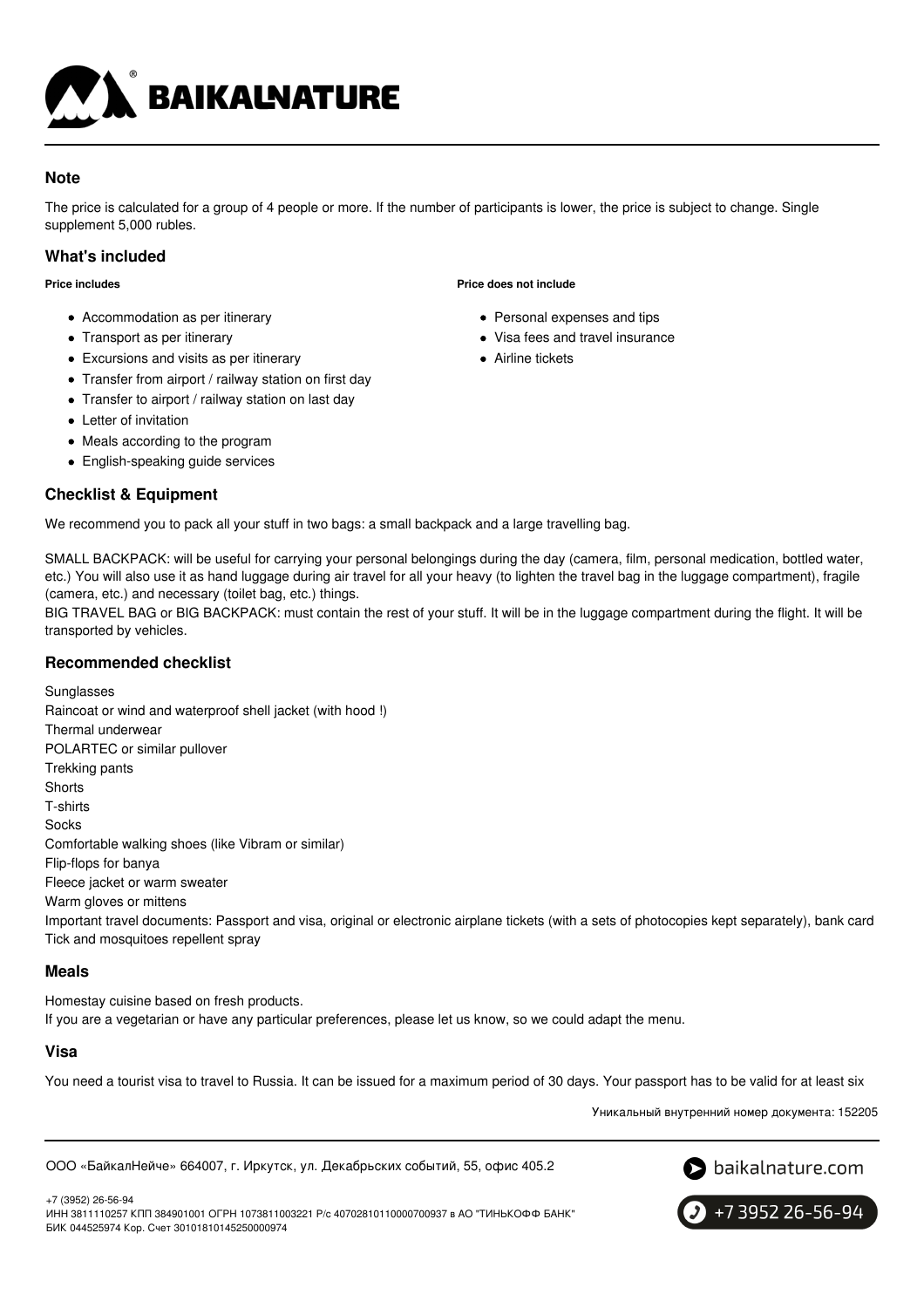

## **Note**

The price is calculated for a group of 4 people or more. If the number of participants is lower, the price is subject to change. Single supplement 5,000 rubles.

## **What's included**

**Price includes**

- Accommodation as per itinerary
- Transport as per itinerary
- Excursions and visits as per itinerary
- Transfer from airport / railway station on first day
- Transfer to airport / railway station on last day
- Letter of invitation
- Meals according to the program
- English-speaking guide services

## **Checklist & Equipment**

We recommend you to pack all your stuff in two bags: a small backpack and a large travelling bag.

SMALL BACKPACK: will be useful for carrying your personal belongings during the day (camera, film, personal medication, bottled water, etc.) You will also use it as hand luggage during air travel for all your heavy (to lighten the travel bag in the luggage compartment), fragile (camera, etc.) and necessary (toilet bag, etc.) things.

BIG TRAVEL BAG or BIG BACKPACK: must contain the rest of your stuff. It will be in the luggage compartment during the flight. It will be transported by vehicles.

### **Recommended checklist**

Sunglasses Raincoat or wind and waterproof shell jacket (with hood !) Thermal underwear POLARTEC or similar pullover Trekking pants **Shorts** T-shirts **Socks** Comfortable walking shoes (like Vibram or similar) Flip-flops for banya Fleece jacket or warm sweater Warm gloves or mittens Important travel documents: Passport and visa, original or electronic airplane tickets (with a sets of photocopies kept separately), bank card Tick and mosquitoes repellent spray

## **Meals**

Homestay cuisine based on fresh products. If you are a vegetarian or have any particular preferences, please let us know, so we could adapt the menu.

## **Visa**

You need a tourist visa to travel to Russia. It can be issued for a maximum period of 30 days. Your passport has to be valid for at least six

Уникальный внутренний номер документа: 152205

ООО «БайкалНейче» 664007, г. Иркутск, ул. Декабрьских событий, 55, офис 405.2



+7 (3952) 26-56-94 ИНН 3811110257 КПП 384901001 ОГРН 1073811003221 Р/с 40702810110000700937 в АО "ТИНЬКОФФ БАНК" БИК 044525974 Кор. Счет 30101810145250000974



**Price does not include**

- Personal expenses and tips
- Visa fees and travel insurance
- Airline tickets